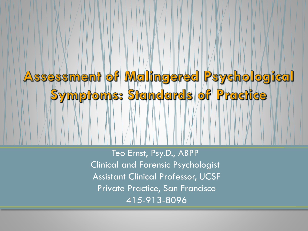# Assessment of Malingered Psychological **Symptoms: Standards of Practice**

Teo Ernst, Psy.D., ABPP Clinical and Forensic Psychologist Assistant Clinical Professor, UCSF Private Practice, San Francisco 415-913-8096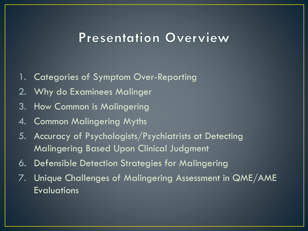### **Presentation Overview**

- 1. Categories of Symptom Over-Reporting
- 2. Why do Examinees Malinger
- 3. How Common is Malingering
- 4. Common Malingering Myths
- 5. Accuracy of Psychologists/Psychiatrists at Detecting Malingering Based Upon Clinical Judgment
- 6. Defensible Detection Strategies for Malingering
- 7. Unique Challenges of Malingering Assessment in QME/AME Evaluations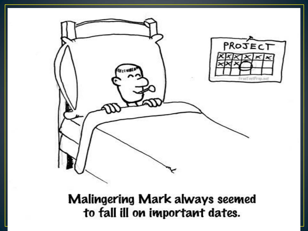

**Malingering Mark always seemed** to fall ill on important dates.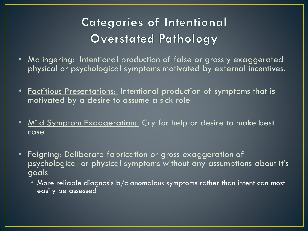# Categories of Intentional **Overstated Pathology**

- <u>Malingering:</u> Intentional production of false or grossly exaggerated physical or psychological symptoms motivated by external incentives.
- Factitious Presentations: Intentional production of symptoms that is motivated by a desire to assume a sick role
- Mild Symptom Exaggeration: Cry for help or desire to make best case
- <u>Feigning: </u>Deliberate fabrication or gross exaggeration of psychological or physical symptoms without any assumptions about it's goals
	- More reliable diagnosis b/c anomalous symptoms rather than intent can most easily be assessed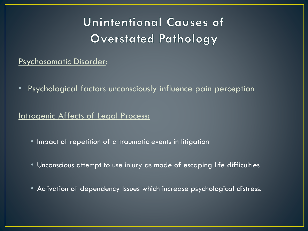# Unintentional Causes of **Overstated Pathology**

#### Psychosomatic Disorder:

• Psychological factors unconsciously influence pain perception

#### Iatrogenic Affects of Legal Process:

- Impact of repetition of a traumatic events in litigation
- Unconscious attempt to use injury as mode of escaping life difficulties
- Activation of dependency Issues which increase psychological distress.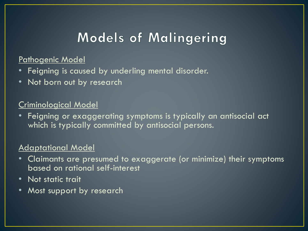## **Models of Malingering**

#### Pathogenic Model

- Feigning is caused by underling mental disorder.
- Not born out by research

### Criminological Model

• Feigning or exaggerating symptoms is typically an antisocial act which is typically committed by antisocial persons.

#### Adaptational Model

- Claimants are presumed to exaggerate (or minimize) their symptoms based on rational self-interest
- Not static trait
- Most support by research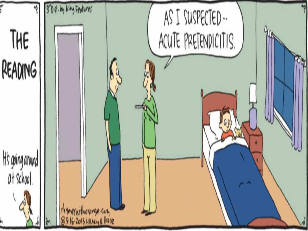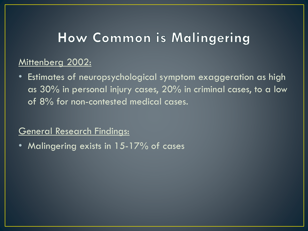### How Common is Malingering

### Mittenberg 2002:

• Estimates of neuropsychological symptom exaggeration as high as 30% in personal injury cases, 20% in criminal cases, to a low of 8% for non-contested medical cases.

#### General Research Findings:

• Malingering exists in 15-17% of cases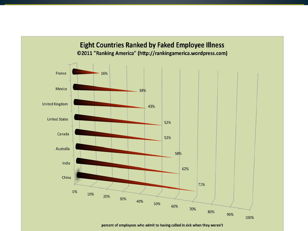

## **Eight Countries Ranked by Faked Employee Illness**

percent of employees who admit to having called in sick when they weren't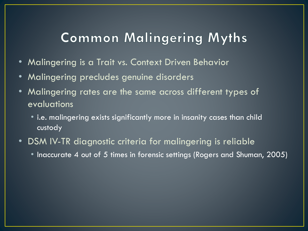### **Common Malingering Myths**

- Malingering is a Trait vs. Context Driven Behavior
- Malingering precludes genuine disorders
- Malingering rates are the same across different types of evaluations
	- i.e. malingering exists significantly more in insanity cases than child custody
- DSM IV-TR diagnostic criteria for malingering is reliable
	- Inaccurate 4 out of 5 times in forensic settings (Rogers and Shuman, 2005)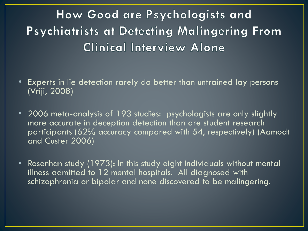How Good are Psychologists and Psychiatrists at Detecting Malingering From **Clinical Interview Alone** 

- Experts in lie detection rarely do better than untrained lay persons (Vriji, 2008)
- 2006 meta-analysis of 193 studies: psychologists are only slightly more accurate in deception detection than are student research participants (62% accuracy compared with 54, respectively) (Aamodt and Custer 2006)
- Rosenhan study (1973): In this study eight individuals without mental illness admitted to 12 mental hospitals. All diagnosed with schizophrenia or bipolar and none discovered to be malingering.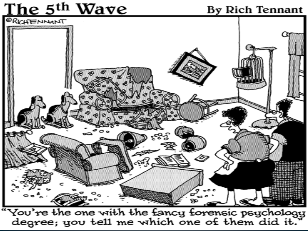

"You're the one with the fancy forensic psychology"<br>degree; you tell me which one of them did it."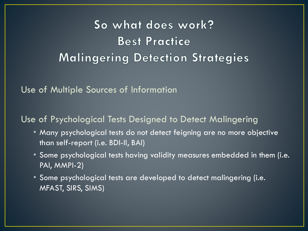# So what does work? **Best Practice Malingering Detection Strategies**

Use of Multiple Sources of Information

### Use of Psychological Tests Designed to Detect Malingering

- Many psychological tests do not detect feigning are no more objective than self-report (i.e. BDI-II, BAI)
- Some psychological tests having validity measures embedded in them (i.e. PAI, MMPI-2)
- Some psychological tests are developed to detect malingering (i.e. MFAST, SIRS, SIMS)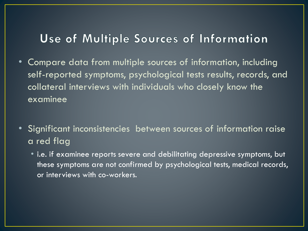### Use of Multiple Sources of Information

- Compare data from multiple sources of information, including self-reported symptoms, psychological tests results, records, and collateral interviews with individuals who closely know the examinee
- Significant inconsistencies between sources of information raise a red flag
	- i.e. if examinee reports severe and debilitating depressive symptoms, but these symptoms are not confirmed by psychological tests, medical records, or interviews with co-workers.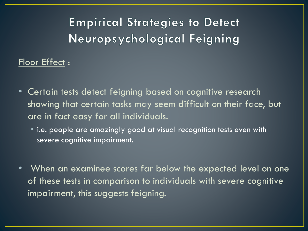**Empirical Strategies to Detect** Neuropsychological Feigning

### Floor Effect :

- Certain tests detect feigning based on cognitive research showing that certain tasks may seem difficult on their face, but are in fact easy for all individuals.
	- i.e. people are amazingly good at visual recognition tests even with severe cognitive impairment.
- When an examinee scores far below the expected level on one of these tests in comparison to individuals with severe cognitive impairment, this suggests feigning.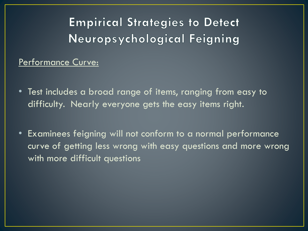**Empirical Strategies to Detect** Neuropsychological Feigning

### Performance Curve:

- Test includes a broad range of items, ranging from easy to difficulty. Nearly everyone gets the easy items right.
- Examinees feigning will not conform to a normal performance curve of getting less wrong with easy questions and more wrong with more difficult questions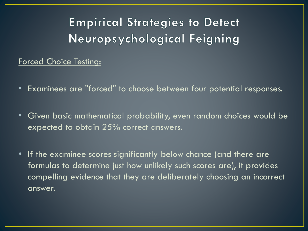**Empirical Strategies to Detect** Neuropsychological Feigning

#### Forced Choice Testing:

- Examinees are "forced" to choose between four potential responses.
- Given basic mathematical probability, even random choices would be expected to obtain 25% correct answers.
- If the examinee scores significantly below chance (and there are formulas to determine just how unlikely such scores are), it provides compelling evidence that they are deliberately choosing an incorrect answer.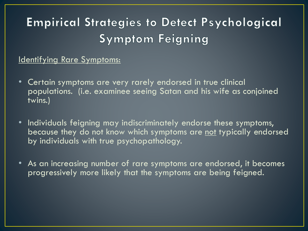# **Empirical Strategies to Detect Psychological Symptom Feigning**

#### Identifying Rare Symptoms:

- Certain symptoms are very rarely endorsed in true clinical populations. (i.e. examinee seeing Satan and his wife as conjoined twins.)
- Individuals feigning may indiscriminately endorse these symptoms, because they do not know which symptoms are not typically endorsed by individuals with true psychopathology.
- As an increasing number of rare symptoms are endorsed, it becomes progressively more likely that the symptoms are being feigned.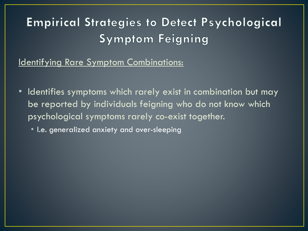# **Empirical Strategies to Detect Psychological Symptom Feigning**

### Identifying Rare Symptom Combinations:

- Identifies symptoms which rarely exist in combination but may be reported by individuals feigning who do not know which psychological symptoms rarely co-exist together.
	- I.e. generalized anxiety and over-sleeping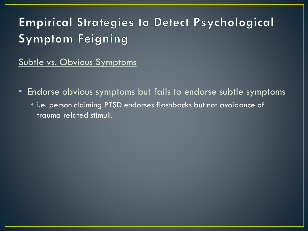# **Empirical Strategies to Detect Psychological Symptom Feigning**

Subtle vs. Obvious Symptoms

- Endorse obvious symptoms but fails to endorse subtle symptoms
	- i.e. person claiming PTSD endorses flashbacks but not avoidance of trauma related stimuli.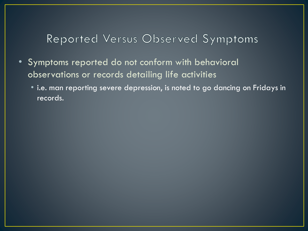### Reported Versus Observed Symptoms

- Symptoms reported do not conform with behavioral observations or records detailing life activities
	- i.e. man reporting severe depression, is noted to go dancing on Fridays in records.